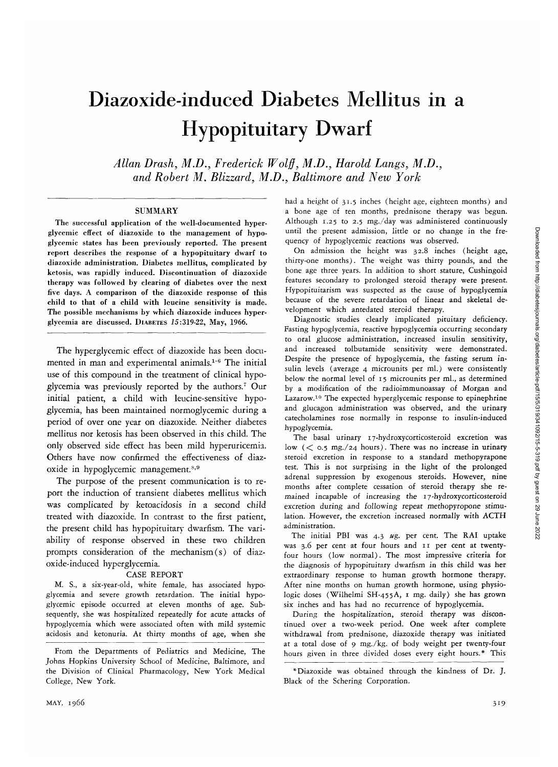# Diazoxide-induced Diabetes Mellitus in a Hypopituitary Dwarf

*Allan Drash, M.D., Frederick Wolff, M.D., Harold Langs, M.D., and Robert M. Blizzard, M.D., Baltimore and New York*

#### SUMMARY

The successful application of the well-documented hyperglycemic effect of diazoxide to the management of hypoglycemic states has been previously reported. The present report describes the response of a hypopituitary dwarf to diazoxide administration. Diabetes mellitus, complicated by ketosis, was rapidly induced. Discontinuation of diazoxide therapy was followed by clearing of diabetes over the next five days. A comparison of the diazoxide response of this child to that of a child with leucine sensitivity is made. The possible mechanisms by which diazoxide induces hyperglycemia are discussed. DIABETES 15:319-22, May, 1966.

The hyperglycemic effect of diazoxide has been documented in man and experimental animals.<sup>1-6</sup> The initial use of this compound in the treatment of clinical hypoglycemia was previously reported by the authors.<sup>7</sup> Our initial patient, a child with leucine-sensitive hypoglycemia, has been maintained normoglycemic during a period of over one year on diazoxide. Neither diabetes mellitus nor ketosis has been observed in this child. The only observed side effect has been mild hyperuricemia. Others have now confirmed the effectiveness of diazoxide in hypoglycemic management.<sup>8,9</sup>

The purpose of the present communication is to report the induction of transient diabetes mellitus which was complicated by ketoacidosis in a second child treated with diazoxide. In contrast to the first patient, the present child has hypopituitary dwarfism. The variability of response observed in these two children prompts consideration of the mechanism(s) of diazoxide-induced hyperglycemia.

#### CASE REPORT

M. S., a six-year-old, white female, has associated hypoglycemia and severe growth retardation. The initial hypoglycemic episode occurred at eleven months of age. Subsequently, she was hospitalized repeatedly for acute attacks of hypoglycemia which were associated often with mild systemic acidosis and ketonuria. At thirty months of age, when she had a height of 31.5 inches (height age, eighteen months) and a bone age of ten months, prednisone therapy was begun. Although 1.25 to 2.5 mg./day was administered continuously until the present admission, little or no change in the frequency of hypoglycemic reactions was observed.

On admission the height was 32.8 inches (height age, thirty-one months). The weight was thirty pounds, and the bone age three years. In addition to short stature, Cushingoid features secondary to prolonged steroid therapy were present. Hypopituitarism was suspected as the cause of hypoglycemia because of the severe retardation of linear and skeletal development which antedated steroid therapy.

Diagnostic studies clearly implicated pituitary deficiency. Fasting hypoglycemia, reactive hypoglycemia occurring secondary to oral glucose administration, increased insulin sensitivity, and increased tolbutamide sensitivity were demonstrated. Despite the presence of hypoglycemia, the fasting serum insulin levels (average 4 microunits per ml.) were consistently below the normal level of 15 microunits per ml., as determined by a modification of the radioimmunoassay of Morgan and Lazarow.10 The expected hyperglycemic response to epinephrine and glucagon administration was observed, and the urinary catecholamines rose normally in response to insulin-induced hypoglycemia.

The basal urinary 17-hydroxycorticosteroid excretion was low  $( $0.5 \text{ mg.}/24 \text{ hours}$ ). There was no increase in urinary$ steroid excretion in response to a standard methopyrapone test. This is not surprising in the light of the prolonged adrenal suppression by exogenous steroids. However, nine months after complete cessation of steroid therapy she remained incapable of increasing the 17-hydroxycorticosteroid excretion during and following repeat methopyropone stimulation. However, the excretion increased normally with ACTH administration.

The initial PBI was 4.3 *ug.* per cent. The RAI uptake was 3.6 per cent at four hours and 11 per cent at twentyfour hours (low normal). The most impressive criteria for the diagnosis of hypopituitary dwarfism in this child was her extraordinary response to human growth hormone therapy. After nine months on human growth hormone, using physiologic doses (Wilhelmi SH-455A, 1 mg. daily) she has grown six inches and has had no recurrence of hypoglycemia.

During the hospitalization, steroid therapy was discontinued over a two-week period. One week after complete withdrawal from prednisone, diazoxide therapy was initiated at a total dose of 9 mg./kg. of body weight per twenty-four hours given in three divided doses every eight hours.\* This

\* Diazoxide was obtained through the kindness of Dr. J. Black of the Schering Corporation.

From the Departments of Pediatrics and Medicine, The Johns Hopkins University School of Medicine, Baltimore, and the Division of Clinical Pharmacology, New York Medical College. New York.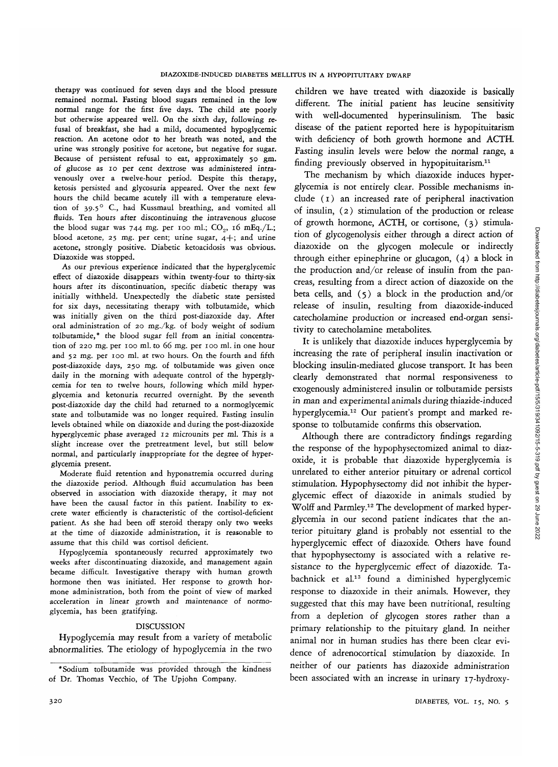therapy was continued for seven days and the blood pressure remained normal. Fasting blood sugars remained in the low normal range for the first five days. The child ate poorly but otherwise appeared well. On the sixth day, following refusal of breakfast, she had a mild, documented hypoglycemic reaction. An acetone odor to her breath was noted, and the urine was strongly positive for acetone, but negative for sugar. Because of persistent refusal to eat, approximately 50 gm. of glucose as 10 per cent dextrose was administered intravenously over a twelve-hour period. Despite this therapy, ketosis persisted and glycosuria appeared. Over the next few hours the child became acutely ill with a temperature elevation of 39.5 ° C, had Kussmaul breathing, and vomited all fluids. Ten hours after discontinuing the intravenous glucose the blood sugar was 744 mg. per 100 ml.;  $CO<sub>2</sub>$ , 16 mEq./L.; blood acetone,  $25$  mg. per cent; urine sugar,  $4+$ ; and urine acetone, strongly positive. Diabetic ketoacidosis was obvious. Diazoxide was stopped.

As our previous experience indicated that the hyperglycemic effect of diazoxide disappears within twenty-four to thirty-six hours after its discontinuation, specific diabetic therapy was initially withheld. Unexpectedly the diabetic state persisted for six days, necessitating therapy with tolbutamide, which was initially given on the third post-diazoxide day. After oral administration of 20 mg./kg. of body weight of sodium tolbutamide,\* the blood sugar fell from an initial concentration of 220 mg. per 100 ml. to *66* mg. per 100 ml. in one hour and 52 mg. per 100 ml. at two hours. On the fourth and fifth post-diazoxide days, 250 mg. of tolbutamide was given once daily in the morning with adequate control of the hyperglycemia for ten to twelve hours, following which mild hyperglycemia and ketonuria recurred overnight. By the seventh post-diazoxide day the child had returned to a normoglycemic state and tolbutamide was no longer required. Fasting insulin levels obtained while on diazoxide and during the post-diazoxide hyperglycemic phase averaged 12 microunits per ml. This is a slight increase over the pretreatment level, but still below normal, and particularly inappropriate for the degree of hyperglycemia present.

Moderate fluid retention and hyponatremia occurred during the diazoxide period. Although fluid accumulation has been observed in association with diazoxide therapy, it may not have been the causal factor in this patient. Inability to excrete water efficiently is characteristic of the cortisol-deficient patient. As she had been off steroid therapy only two weeks at the time of diazoxide administration, it is reasonable to assume that this child was cortisol deficient.

Hypoglycemia spontaneously recurred approximately two weeks after discontinuating diazoxide, and management again became difficult. Investigative therapy with human growth hormone then was initiated. Her response to growth hormone administration, both from the point of view of marked acceleration in linear growth and maintenance of normoglycemia, has been gratifying.

### DISCUSSION

Hypoglycemia may result from a variety of metabolic abnormalities. The etiology of hypoglycemia in the two children we have treated with diazoxide is basically different. The initial patient has leucine sensitivity with well-documented hyperinsulinism. The basic disease of the patient reported here is hypopituitarism with deficiency of both growth hormone and ACTH. Fasting insulin levels were below the normal range, a finding previously observed in hypopituitarism.11

The mechanism by which diazoxide induces hyperglycemia is not entirely clear. Possible mechanisms include (1) an increased rate of peripheral inactivation of insulin, (2) stimulation of the production or release of growth hormone, ACTH, or cortisone, (3) stimulation of glycogenolysis either through a direct action of diazoxide on the glycogen molecule or indirectly through either epinephrine or glucagon, (4) a block in the production and/or release of insulin from the pancreas, resulting from a direct action of diazoxide on the beta cells, and (5) a block in the production and/or release of insulin, resulting from diazoxide-induced catecholamine production or increased end-organ sensitivity to catecholamine metabolites.

It is unlikely that diazoxide induces hyperglycemia by increasing the rate of peripheral insulin inactivation or blocking insulin-mediated glucose transport. It has been clearly demonstrated that normal responsiveness to exogenously administered insulin or tolbutamide persists in man and experimental animals during thiazide-induced hyperglycemia.12 Our patient's prompt and marked response to tolbutamide confirms this observation.

Although there are contradictory findings regarding the response of the hypophysectomized animal to diazoxide, it is probable that diazoxide hyperglycemia is unrelated to either anterior pituitary or adrenal corticol stimulation. Hypophysectomy did not inhibit the hyperglycemic effect of diazoxide in animals studied by Wolff and Parmley.12 The development of marked hyperglycemia in our second patient indicates that the anterior pituitary gland is probably not essential to the hyperglycemic effect of diazoxide. Others have found that hypophysectomy is associated with a relative resistance to the hyperglycemic effect of diazoxide. Tabachnick et al.<sup>13</sup> found a diminished hyperglycemic response to diazoxide in their animals. However, they suggested that this may have been nutritional, resulting from a depletion of glycogen stores rather than a primary relationship to the pituitary gland. In neither animal nor in human studies has there been clear evidence of adrenocortical stimulation by diazoxide. In neither of our patients has diazoxide administration been associated with an increase in urinary 17-hydroxy-

<sup>\*</sup> Sodium tolbutamide was provided through the kindness of Dr. Thomas Vecchio, of The Upjohn Company.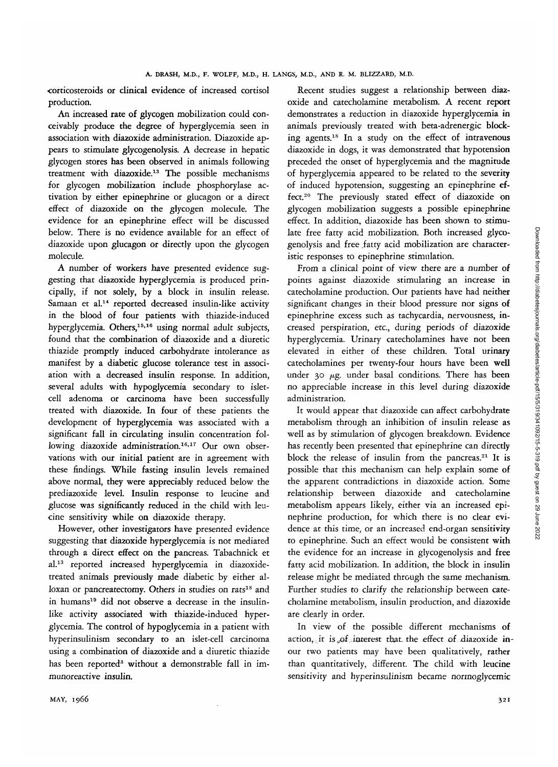•corticosteroids or clinical evidence of increased cortisol production.

An increased rate of glycogen mobilization could conceivably produce the degree of hyperglycemia seen in association with diazoxide administration. Diazoxide appears to stimulate glycogenolysis. A decrease in hepatic glycogen stores has been observed in animals following treatment with diazoxide.13 The possible mechanisms for glycogen mobilization include phosphorylase activation by either epinephrine or glucagon or a direct effect of diazoxide on the glycogen molecule. The evidence for an epinephrine effect will be discussed below. There is no evidence available for an effect of diazoxide upon glucagon or directly upon the glycogen molecule.

A number of workers have presented evidence suggesting that diazoxide hyperglycemia *is* produced principally, if not solely, by a block in insulin release. Samaan et al.<sup>14</sup> reported decreased insulin-like activity in the blood of four patients with thiazide-induced hyperglycemia. Others,<sup>15,16</sup> using normal adult subjects, found that the combination of diazoxide and a diuretic thiazide promptly induced carbohydrate intolerance as manifest by a diabetic glucose tolerance test in association with a decreased insulin response. In addition, several adults with hypoglycemia secondary to isletcell adenoma or carcinoma have been successfully treated with diazoxide. In four of these patients the development of hyperglycemia was associated with a significant fall in circulating insulin concentration following diazoxide administration.<sup>16,17</sup> Our own observations with our initial patient are in agreement with these findings. While fasting insulin levels remained above normal, they were appreciably reduced below the prediazoxide level. Insulin response to leucine and glucose was significantly reduced in the child with leucine sensitivity while on diazoxide therapy.

However, other investigators have presented evidence suggesting that diazoxide hyperglycemia is not mediated through a direct effect on the pancreas. Tabachnick et al.<sup>13</sup> reported increased hyperglycemia in diazoxidetreated animals previously made diabetic by either alloxan or pancreatectomy. Others in studies on rats<sup>18</sup> and in humans19 did not observe a decrease in the insulinlike activity associated with thiazide-induced hyperglycemia. The control of hypoglycemia in a patient with hyperinsulinism secondary to an islet-cell carcinoma using a combination of diazoxide and a diuretic thiazide asing a compilation of unachine and a unified imagine munoreactive insulin.

Recent studies suggest a relationship between diazoxide and catecholamine metabolism. A recent report demonstrates a reduction in diazoxide hyperglycemia in animals previously treated with beta-adrenergic blocking agents.18 In a study on the effect of intravenous diazoxide in dogs, it was demonstrated that hypotension preceded the onset of hyperglycemia and the magnitude of hyperglycemia appeared to be related to the severity of induced hypotension, suggesting an epinephrine effect.20 The previously stated effect of diazoxide on glycogen mobilization suggests a possible epinephrine effect. In addition, diazoxide has been shown to stimulate free fatty acid mobilization. Both increased glycogenolysis and free.fatty acid mobilization are characteristic responses to epinephrine stimulation.

From a clinical point of view there are a number of points against diazoxide stimulating an increase in catecholamine production. Our patients have had neither significant changes in their blood pressure nor signs of epinephrine excess such as tachycardia, nervousness, increased perspiration, etc., during periods of diazoxide hyperglycemia. Urinary catecholamines have not been elevated in either of these children. Total urinary catecholamines per twenty-four hours have been well under  $30 \mu$ g. under basal conditions. There has been no appreciable increase in this level during diazoxide administration.

It would appear that diazoxide can affect carbohydrate metabolism through an inhibition of insulin release as well as by stimulation of glycogen breakdown. Evidence has recently been presented that epinephrine can directly block the release of insulin from the pancreas.<sup>21</sup> It is possible that this mechanism can help explain some of the apparent contradictions in diazoxide action. Some relationship between diazoxide and catecholamine metabolism appears likely, either via an increased epinephrine production, for which there is no clear evidence at this time, or an increased end-organ sensitivity to epinephrine. Such an effect would be consistent with the evidence for an increase in glycogenolysis and free fatty acid mobilization. In addition, the block in insulin release might be mediated through the same mechanism. Further studies to clarify the relationship between catecholamine metabolism, insulin production, and diazoxide are clearly in order.

In view of the possible different mechanisms of action, it is of interest that the effect of diazoxide inour two patients may have been qualitatively, rather than quantitatively, different. The child with leucine sensitivity and hyperinsulinism became normoglycemic